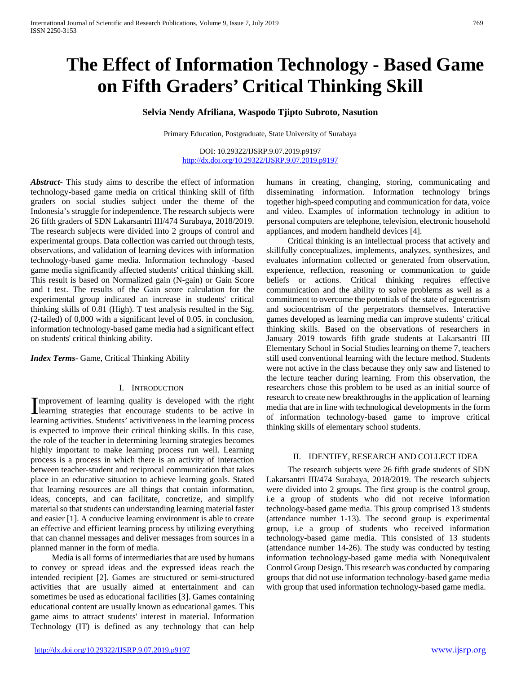# **The Effect of Information Technology - Based Game on Fifth Graders' Critical Thinking Skill**

# **Selvia Nendy Afriliana, Waspodo Tjipto Subroto, Nasution**

Primary Education, Postgraduate, State University of Surabaya

DOI: 10.29322/IJSRP.9.07.2019.p9197 <http://dx.doi.org/10.29322/IJSRP.9.07.2019.p9197>

*Abstract***-** This study aims to describe the effect of information technology-based game media on critical thinking skill of fifth graders on social studies subject under the theme of the Indonesia's struggle for independence. The research subjects were 26 fifth graders of SDN Lakarsantri III/474 Surabaya, 2018/2019. The research subjects were divided into 2 groups of control and experimental groups. Data collection was carried out through tests, observations, and validation of learning devices with information technology-based game media. Information technology -based game media significantly affected students' critical thinking skill. This result is based on Normalized gain (N-gain) or Gain Score and t test. The results of the Gain score calculation for the experimental group indicated an increase in students' critical thinking skills of 0.81 (High). T test analysis resulted in the Sig. (2-tailed) of 0,000 with a significant level of 0.05. in conclusion, information technology-based game media had a significant effect on students' critical thinking ability.

*Index Terms*- Game, Critical Thinking Ability

# I. INTRODUCTION

mprovement of learning quality is developed with the right Improvement of learning quality is developed with the right learning strategies that encourage students to be active in learning activities. Students' activitiveness in the learning process is expected to improve their critical thinking skills. In this case, the role of the teacher in determining learning strategies becomes highly important to make learning process run well. Learning process is a process in which there is an activity of interaction between teacher-student and reciprocal communication that takes place in an educative situation to achieve learning goals. Stated that learning resources are all things that contain information, ideas, concepts, and can facilitate, concretize, and simplify material so that students can understanding learning material faster and easier [1]. A conducive learning environment is able to create an effective and efficient learning process by utilizing everything that can channel messages and deliver messages from sources in a planned manner in the form of media.

 Media is all forms of intermediaries that are used by humans to convey or spread ideas and the expressed ideas reach the intended recipient [2]. Games are structured or semi-structured activities that are usually aimed at entertainment and can sometimes be used as educational facilities [3]. Games containing educational content are usually known as educational games. This game aims to attract students' interest in material. Information Technology (IT) is defined as any technology that can help

humans in creating, changing, storing, communicating and disseminating information. Information technology brings together high-speed computing and communication for data, voice and video. Examples of information technology in adition to personal computers are telephone, television, electronic household appliances, and modern handheld devices [4].

 Critical thinking is an intellectual process that actively and skillfully conceptualizes, implements, analyzes, synthesizes, and evaluates information collected or generated from observation, experience, reflection, reasoning or communication to guide beliefs or actions. Critical thinking requires effective communication and the ability to solve problems as well as a commitment to overcome the potentials of the state of egocentrism and sociocentrism of the perpetrators themselves. Interactive games developed as learning media can improve students' critical thinking skills. Based on the observations of researchers in January 2019 towards fifth grade students at Lakarsantri III Elementary School in Social Studies learning on theme 7, teachers still used conventional learning with the lecture method. Students were not active in the class because they only saw and listened to the lecture teacher during learning. From this observation, the researchers chose this problem to be used as an initial source of research to create new breakthroughs in the application of learning media that are in line with technological developments in the form of information technology-based game to improve critical thinking skills of elementary school students.

### II. IDENTIFY, RESEARCH AND COLLECT IDEA

 The research subjects were 26 fifth grade students of SDN Lakarsantri III/474 Surabaya, 2018/2019. The research subjects were divided into 2 groups. The first group is the control group, i.e a group of students who did not receive information technology-based game media. This group comprised 13 students (attendance number 1-13). The second group is experimental group, i.e a group of students who received information technology-based game media. This consisted of 13 students (attendance number 14-26). The study was conducted by testing information technology-based game media with Nonequivalent Control Group Design. This research was conducted by comparing groups that did not use information technology-based game media with group that used information technology-based game media.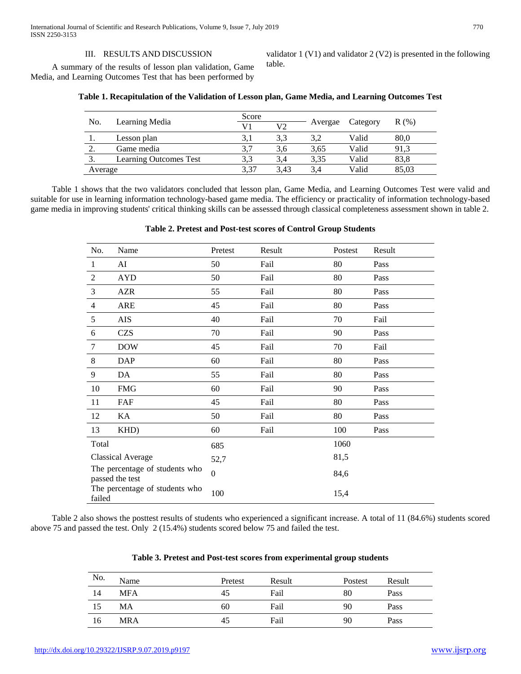# III. RESULTS AND DISCUSSION

 A summary of the results of lesson plan validation, Game Media, and Learning Outcomes Test that has been performed by

validator 1 (V1) and validator 2 (V2) is presented in the following table.

|         |                               | Score |      |         |          | R(% ) |
|---------|-------------------------------|-------|------|---------|----------|-------|
| No.     | Learning Media                | V1    | V2   | Avergae | Category |       |
| .,      | Lesson plan                   | 3,1   | 3.3  | 3,2     | Valid    | 80,0  |
|         | Game media                    |       | 3.6  | 3.65    | Valid    | 91.3  |
|         | <b>Learning Outcomes Test</b> | 3.3   | 3.4  | 3.35    | Valid    | 83.8  |
| Average |                               | 3.37  | 3.43 | 3.4     | Valid    | 85.03 |

# **Table 1. Recapitulation of the Validation of Lesson plan, Game Media, and Learning Outcomes Test**

 Table 1 shows that the two validators concluded that lesson plan, Game Media, and Learning Outcomes Test were valid and suitable for use in learning information technology-based game media. The efficiency or practicality of information technology-based game media in improving students' critical thinking skills can be assessed through classical completeness assessment shown in table 2.

# **Table 2. Pretest and Post-test scores of Control Group Students**

| No.                                               | Name                           | Pretest  | Result | Postest | Result |
|---------------------------------------------------|--------------------------------|----------|--------|---------|--------|
| $\mathbf{1}$                                      | AI                             | 50       | Fail   | 80      | Pass   |
| 2                                                 | <b>AYD</b>                     | 50       | Fail   | 80      | Pass   |
| 3                                                 | <b>AZR</b>                     | 55       | Fail   | 80      | Pass   |
| 4                                                 | <b>ARE</b>                     | 45       | Fail   | 80      | Pass   |
| 5                                                 | AIS                            | 40       | Fail   | 70      | Fail   |
| 6                                                 | <b>CZS</b>                     | 70       | Fail   | 90      | Pass   |
| 7                                                 | <b>DOW</b>                     | 45       | Fail   | 70      | Fail   |
| $\,8\,$                                           | <b>DAP</b>                     | 60       | Fail   | 80      | Pass   |
| 9                                                 | DA                             | 55       | Fail   | 80      | Pass   |
| 10                                                | <b>FMG</b>                     | 60       | Fail   | 90      | Pass   |
| 11                                                | FAF                            | 45       | Fail   | 80      | Pass   |
| 12                                                | KA                             | 50       | Fail   | 80      | Pass   |
| 13                                                | KHD)                           | 60       | Fail   | 100     | Pass   |
| Total                                             |                                | 685      |        | 1060    |        |
| <b>Classical Average</b>                          |                                | 52,7     |        | 81,5    |        |
| The percentage of students who<br>passed the test |                                | $\Omega$ |        | 84,6    |        |
| failed                                            | The percentage of students who | 100      |        | 15,4    |        |

 Table 2 also shows the posttest results of students who experienced a significant increase. A total of 11 (84.6%) students scored above 75 and passed the test. Only 2 (15.4%) students scored below 75 and failed the test.

| No. | Name       | Pretest | Result | Postest | Result |
|-----|------------|---------|--------|---------|--------|
| 14  | <b>MFA</b> | 45      | Fail   | 80      | Pass   |
| 15  | MА         | 60      | Fail   | 90      | Pass   |
| 16  | <b>MRA</b> | 45      | Fail   | 90      | Pass   |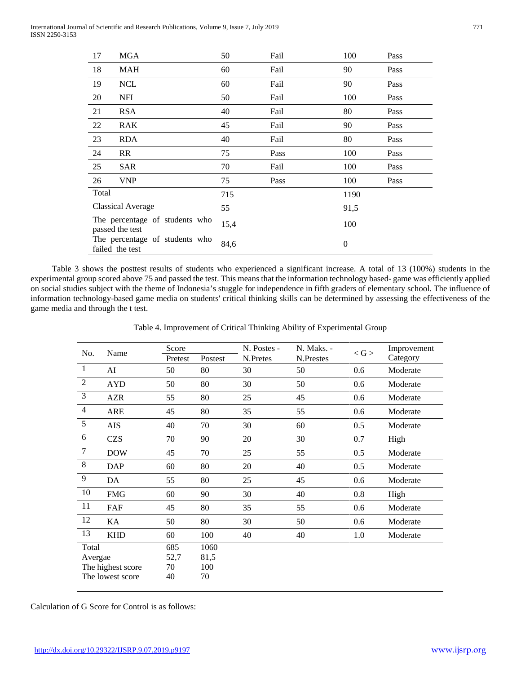International Journal of Scientific and Research Publications, Volume 9, Issue 7, July 2019 771 ISSN 2250-3153

| 17                                                | <b>MGA</b> | 50   | Fail | 100      | Pass |
|---------------------------------------------------|------------|------|------|----------|------|
| 18                                                | <b>MAH</b> | 60   | Fail | 90       | Pass |
| 19                                                | <b>NCL</b> | 60   | Fail | 90       | Pass |
| 20                                                | <b>NFI</b> | 50   | Fail | 100      | Pass |
| 21                                                | <b>RSA</b> | 40   | Fail | 80       | Pass |
| 22                                                | <b>RAK</b> | 45   | Fail | 90       | Pass |
| 23                                                | <b>RDA</b> | 40   | Fail | 80       | Pass |
| 24                                                | RR         | 75   | Pass | 100      | Pass |
| 25                                                | SAR        | 70   | Fail | 100      | Pass |
| 26                                                | <b>VNP</b> | 75   | Pass | 100      | Pass |
| Total                                             |            | 715  |      | 1190     |      |
| <b>Classical Average</b>                          |            | 55   |      | 91,5     |      |
| The percentage of students who<br>passed the test |            | 15,4 |      | 100      |      |
| The percentage of students who<br>failed the test |            | 84,6 |      | $\theta$ |      |

 Table 3 shows the posttest results of students who experienced a significant increase. A total of 13 (100%) students in the experimental group scored above 75 and passed the test. This means that the information technology based- game was efficiently applied on social studies subject with the theme of Indonesia's stuggle for independence in fifth graders of elementary school. The influence of information technology-based game media on students' critical thinking skills can be determined by assessing the effectiveness of the game media and through the t test.

| No.            | Name              | Score   |         | N. Postes - | N. Maks. - | $<$ G $>$ | Improvement |
|----------------|-------------------|---------|---------|-------------|------------|-----------|-------------|
|                |                   | Pretest | Postest | N.Pretes    | N.Prestes  |           | Category    |
| $\mathbf{1}$   | AI                | 50      | 80      | 30          | 50         | 0.6       | Moderate    |
| $\sqrt{2}$     | <b>AYD</b>        | 50      | 80      | 30          | 50         | 0.6       | Moderate    |
| 3              | <b>AZR</b>        | 55      | 80      | 25          | 45         | 0.6       | Moderate    |
| $\overline{4}$ | <b>ARE</b>        | 45      | 80      | 35          | 55         | 0.6       | Moderate    |
| $\overline{5}$ | AIS               | 40      | 70      | 30          | 60         | 0.5       | Moderate    |
| 6              | <b>CZS</b>        | 70      | 90      | 20          | 30         | 0.7       | High        |
| $\tau$         | <b>DOW</b>        | 45      | 70      | 25          | 55         | 0.5       | Moderate    |
| $8\,$          | <b>DAP</b>        | 60      | 80      | 20          | 40         | 0.5       | Moderate    |
| $\overline{9}$ | DA                | 55      | 80      | 25          | 45         | 0.6       | Moderate    |
| 10             | <b>FMG</b>        | 60      | 90      | 30          | 40         | 0.8       | High        |
| 11             | FAF               | 45      | 80      | 35          | 55         | 0.6       | Moderate    |
| 12             | KA                | 50      | 80      | 30          | 50         | 0.6       | Moderate    |
| 13             | <b>KHD</b>        | 60      | 100     | 40          | 40         | 1.0       | Moderate    |
| Total          |                   | 685     | 1060    |             |            |           |             |
| Avergae        |                   | 52,7    | 81,5    |             |            |           |             |
|                | The highest score | 70      | 100     |             |            |           |             |

Table 4. Improvement of Critical Thinking Ability of Experimental Group

Calculation of G Score for Control is as follows:

The lowest score

40

70

 $\mathcal{L}_{\mathcal{A}}$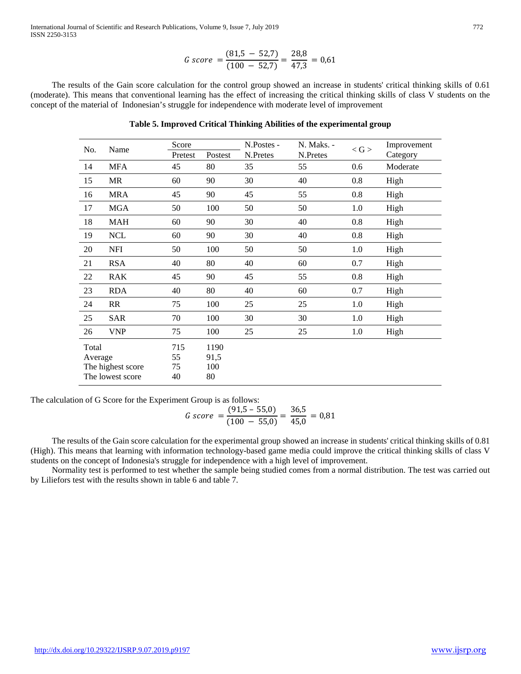International Journal of Scientific and Research Publications, Volume 9, Issue 7, July 2019 772 ISSN 2250-3153

$$
G\ score = \frac{(81.5 - 52.7)}{(100 - 52.7)} = \frac{28.8}{47.3} = 0.61
$$

 The results of the Gain score calculation for the control group showed an increase in students' critical thinking skills of 0.61 (moderate). This means that conventional learning has the effect of increasing the critical thinking skills of class V students on the concept of the material of Indonesian's struggle for independence with moderate level of improvement

# **Table 5. Improved Critical Thinking Abilities of the experimental group**

| No.              | Name                                  | Score                 |                           | N.Postes - | N. Maks. - | $<$ G $>$ | Improvement |
|------------------|---------------------------------------|-----------------------|---------------------------|------------|------------|-----------|-------------|
|                  |                                       | Pretest               | Postest                   | N.Pretes   | N.Pretes   |           | Category    |
| 14               | MFA                                   | 45                    | 80                        | 35         | 55         | 0.6       | Moderate    |
| 15               | MR                                    | 60                    | 90                        | 30         | 40         | 0.8       | High        |
| 16               | <b>MRA</b>                            | 45                    | 90                        | 45         | 55         | 0.8       | High        |
| 17               | <b>MGA</b>                            | 50                    | 100                       | 50         | 50         | 1.0       | High        |
| 18               | MAH                                   | 60                    | 90                        | 30         | 40         | 0.8       | High        |
| 19               | <b>NCL</b>                            | 60                    | 90                        | 30         | 40         | 0.8       | High        |
| 20               | <b>NFI</b>                            | 50                    | 100                       | 50         | 50         | 1.0       | High        |
| 21               | <b>RSA</b>                            | 40                    | 80                        | 40         | 60         | 0.7       | High        |
| 22               | <b>RAK</b>                            | 45                    | 90                        | 45         | 55         | 0.8       | High        |
| 23               | <b>RDA</b>                            | 40                    | 80                        | 40         | 60         | 0.7       | High        |
| 24               | RR                                    | 75                    | 100                       | 25         | 25         | 1.0       | High        |
| 25               | SAR                                   | 70                    | 100                       | 30         | 30         | 1.0       | High        |
| 26               | <b>VNP</b>                            | 75                    | 100                       | 25         | 25         | 1.0       | High        |
| Total<br>Average | The highest score<br>The lowest score | 715<br>55<br>75<br>40 | 1190<br>91,5<br>100<br>80 |            |            |           |             |

The calculation of G Score for the Experiment Group is as follows:

$$
G\ score = \frac{(91.5 - 55.0)}{(100 - 55.0)} = \frac{36.5}{45.0} = 0.81
$$

 The results of the Gain score calculation for the experimental group showed an increase in students' critical thinking skills of 0.81 (High). This means that learning with information technology-based game media could improve the critical thinking skills of class V students on the concept of Indonesia's struggle for independence with a high level of improvement.

 Normality test is performed to test whether the sample being studied comes from a normal distribution. The test was carried out by Liliefors test with the results shown in table 6 and table 7.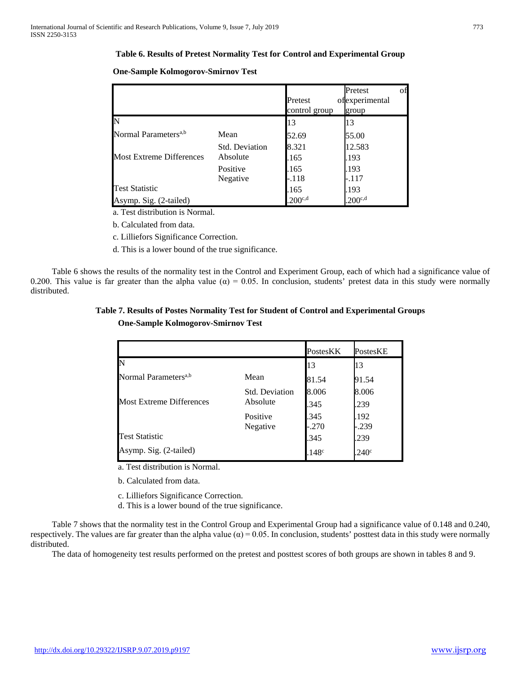# **Table 6. Results of Pretest Normality Test for Control and Experimental Group**

|                                  |                       | Pretest<br>control group | Pretest<br>ofexperimental<br>group | οf |
|----------------------------------|-----------------------|--------------------------|------------------------------------|----|
| N                                |                       | 13                       | 13                                 |    |
| Normal Parameters <sup>a,b</sup> | Mean                  | 52.69                    | 55.00                              |    |
|                                  | <b>Std. Deviation</b> | 8.321                    | 12.583                             |    |
| <b>Most Extreme Differences</b>  | Absolute              | .165                     | .193                               |    |
|                                  | Positive              | .165                     | .193                               |    |
|                                  | Negative              | -.118                    | -.117                              |    |
| <b>Test Statistic</b>            |                       | .165                     | .193                               |    |
| Asymp. Sig. (2-tailed)           |                       | $200^{c,d}$              | .200 <sub>c,d</sub>                |    |

# **One-Sample Kolmogorov-Smirnov Test**

a. Test distribution is Normal.

b. Calculated from data.

c. Lilliefors Significance Correction.

d. This is a lower bound of the true significance.

 Table 6 shows the results of the normality test in the Control and Experiment Group, each of which had a significance value of 0.200. This value is far greater than the alpha value ( $\alpha$ ) = 0.05. In conclusion, students' pretest data in this study were normally distributed.

# **Table 7. Results of Postes Normality Test for Student of Control and Experimental Groups One-Sample Kolmogorov-Smirnov Test**

|                                  |                       | PostesKK          | PostesKE          |
|----------------------------------|-----------------------|-------------------|-------------------|
| N                                |                       | 13                | 13                |
| Normal Parameters <sup>a,b</sup> | Mean                  | 81.54             | 91.54             |
|                                  | <b>Std. Deviation</b> | 8.006             | 8.006             |
| <b>Most Extreme Differences</b>  | Absolute              | .345              | .239              |
|                                  | Positive<br>Negative  | .345<br>$-.270$   | .192<br>$-.239$   |
| <b>Test Statistic</b>            |                       | .345              | .239              |
| Asymp. Sig. (2-tailed)           |                       | .148 <sup>c</sup> | .240 <sup>c</sup> |

a. Test distribution is Normal.

b. Calculated from data.

c. Lilliefors Significance Correction.

d. This is a lower bound of the true significance.

 Table 7 shows that the normality test in the Control Group and Experimental Group had a significance value of 0.148 and 0.240, respectively. The values are far greater than the alpha value ( $\alpha$ ) = 0.05. In conclusion, students' posttest data in this study were normally distributed.

The data of homogeneity test results performed on the pretest and posttest scores of both groups are shown in tables 8 and 9.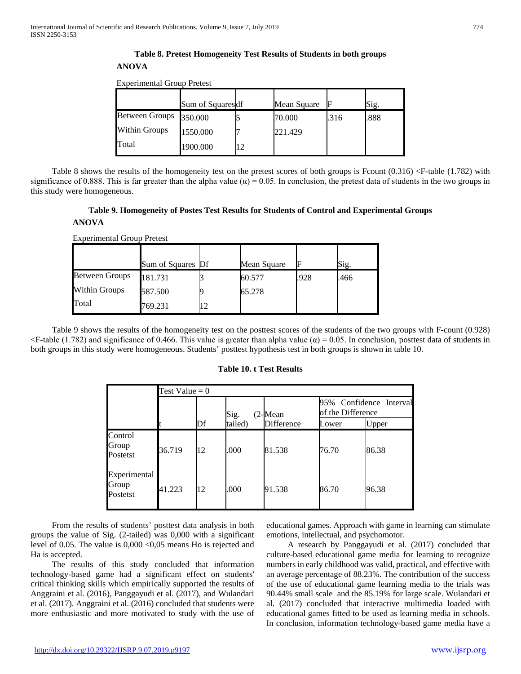# **Table 8. Pretest Homogeneity Test Results of Students in both groups ANOVA**

Experimental Group Pretest

|                        | Sum of Squares df | Mean Square |      | Sig. |
|------------------------|-------------------|-------------|------|------|
| Between Groups 350.000 |                   | 70.000      | .316 | .888 |
| <b>Within Groups</b>   | 1550.000          | 221.429     |      |      |
| Total                  | 1900.000          |             |      |      |

Table 8 shows the results of the homogeneity test on the pretest scores of both groups is Fcount  $(0.316)$  <F-table  $(1.782)$  with significance of 0.888. This is far greater than the alpha value ( $\alpha$ ) = 0.05. In conclusion, the pretest data of students in the two groups in this study were homogeneous.

# **Table 9. Homogeneity of Postes Test Results for Students of Control and Experimental Groups**

# **ANOVA**

| <b>Experimental Group Pretest</b> |  |
|-----------------------------------|--|
|-----------------------------------|--|

|                       | Sum of Squares Df | Mean Square |      | Sig. |
|-----------------------|-------------------|-------------|------|------|
| <b>Between Groups</b> | 181.731           | 60.577      | .928 | .466 |
| <b>Within Groups</b>  | 587.500           | 65.278      |      |      |
| Total                 | 769.231           |             |      |      |

 Table 9 shows the results of the homogeneity test on the posttest scores of the students of the two groups with F-count (0.928)  $\leq$ F-table (1.782) and significance of 0.466. This value is greater than alpha value ( $\alpha$ ) = 0.05. In conclusion, posttest data of students in both groups in this study were homogeneous. Students' posttest hypothesis test in both groups is shown in table 10.

# **Table 10. t Test Results**

|                                   | Test Value = $0$ |    |         |            |                                              |       |
|-----------------------------------|------------------|----|---------|------------|----------------------------------------------|-------|
|                                   |                  |    | Sig.    | $(2$ -Mean | 95% Confidence Interval<br>of the Difference |       |
|                                   |                  | Df | tailed) | Difference | Lower                                        | Upper |
| Control<br>Group<br>Postetst      | 36.719           | 12 | .000    | 81.538     | 76.70                                        | 86.38 |
| Experimental<br>Group<br>Postetst | 41.223           | 12 | .000    | 91.538     | 86.70                                        | 96.38 |

 From the results of students' posttest data analysis in both groups the value of Sig. (2-tailed) was 0,000 with a significant level of 0.05. The value is 0,000 <0,05 means Ho is rejected and Ha is accepted.

 The results of this study concluded that information technology-based game had a significant effect on students' critical thinking skills which empirically supported the results of Anggraini et al. (2016), Panggayudi et al. (2017), and Wulandari et al. (2017). Anggraini et al. (2016) concluded that students were more enthusiastic and more motivated to study with the use of educational games. Approach with game in learning can stimulate emotions, intellectual, and psychomotor.

 A research by Panggayudi et al. (2017) concluded that culture-based educational game media for learning to recognize numbers in early childhood was valid, practical, and effective with an average percentage of 88.23%. The contribution of the success of the use of educational game learning media to the trials was 90.44% small scale and the 85.19% for large scale. Wulandari et al. (2017) concluded that interactive multimedia loaded with educational games fitted to be used as learning media in schools. In conclusion, information technology-based game media have a